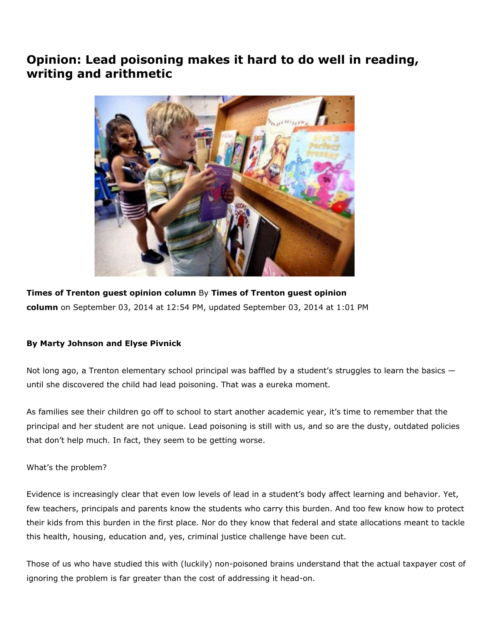## Opinion: Lead poisoning makes it hard to do well in reading, writing and arithmetic



Times of Trenton guest opinion column By Times of Trenton guest opinion column on September 03, 2014 at 12:54 PM, updated September 03, 2014 at 1:01 PM

## By Marty Johnson and Elyse Pivnick

Not long ago, a Trenton elementary school principal was baffled by a student's struggles to learn the basics until she discovered the child had lead poisoning. That was a eureka moment.

As families see their children go off to school to start another academic year, it's time to remember that the principal and her student are not unique. Lead poisoning is still with us, and so are the dusty, outdated policies that don't help much. In fact, they seem to be getting worse.

What's the problem?

Evidence is increasingly clear that even low levels of lead in a student's body affect learning and behavior. Yet, few teachers, principals and parents know the students who carry this burden. And too few know how to protect their kids from this burden in the first place. Nor do they know that federal and state allocations meant to tackle this health, housing, education and, yes, criminal justice challenge have been cut.

Those of us who have studied this with (luckily) non-poisoned brains understand that the actual taxpayer cost of ignoring the problem is far greater than the cost of addressing it head-on.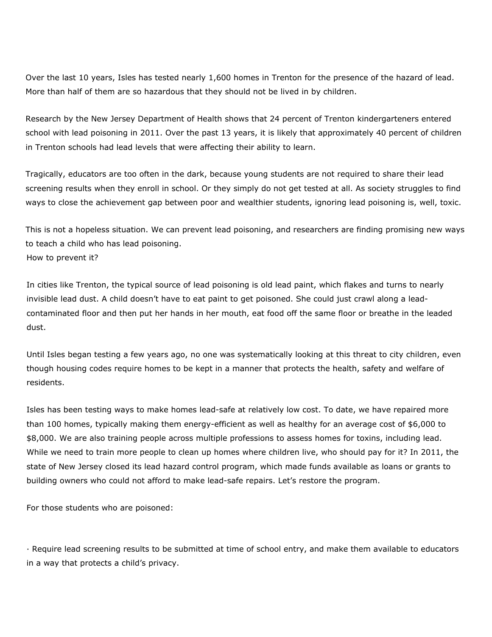Over the last 10 years, Isles has tested nearly 1,600 homes in Trenton for the presence of the hazard of lead. More than half of them are so hazardous that they should not be lived in by children.

Research by the New Jersey Department of Health shows that 24 percent of Trenton kindergarteners entered school with lead poisoning in 2011. Over the past 13 years, it is likely that approximately 40 percent of children in Trenton schools had lead levels that were affecting their ability to learn.

Tragically, educators are too often in the dark, because young students are not required to share their lead screening results when they enroll in school. Or they simply do not get tested at all. As society struggles to find ways to close the achievement gap between poor and wealthier students, ignoring lead poisoning is, well, toxic.

How to prevent it? This is not a hopeless situation. We can prevent lead poisoning, and researchers are finding promising new ways to teach a child who has lead poisoning.

In cities like Trenton, the typical source of lead poisoning is old lead paint, which flakes and turns to nearly invisible lead dust. A child doesn't have to eat paint to get poisoned. She could just crawl along a leadcontaminated floor and then put her hands in her mouth, eat food off the same floor or breathe in the leaded dust.

Until Isles began testing a few years ago, no one was systematically looking at this threat to city children, even though housing codes require homes to be kept in a manner that protects the health, safety and welfare of residents.

Isles has been testing ways to make homes lead-safe at relatively low cost. To date, we have repaired more than 100 homes, typically making them energy-efficient as well as healthy for an average cost of \$6,000 to \$8,000. We are also training people across multiple professions to assess homes for toxins, including lead. While we need to train more people to clean up homes where children live, who should pay for it? In 2011, the state of New Jersey closed its lead hazard control program, which made funds available as loans or grants to building owners who could not afford to make lead-safe repairs. Let's restore the program.

For those students who are poisoned:

· Require lead screening results to be submitted at time of school entry, and make them available to educators in a way that protects a child's privacy.